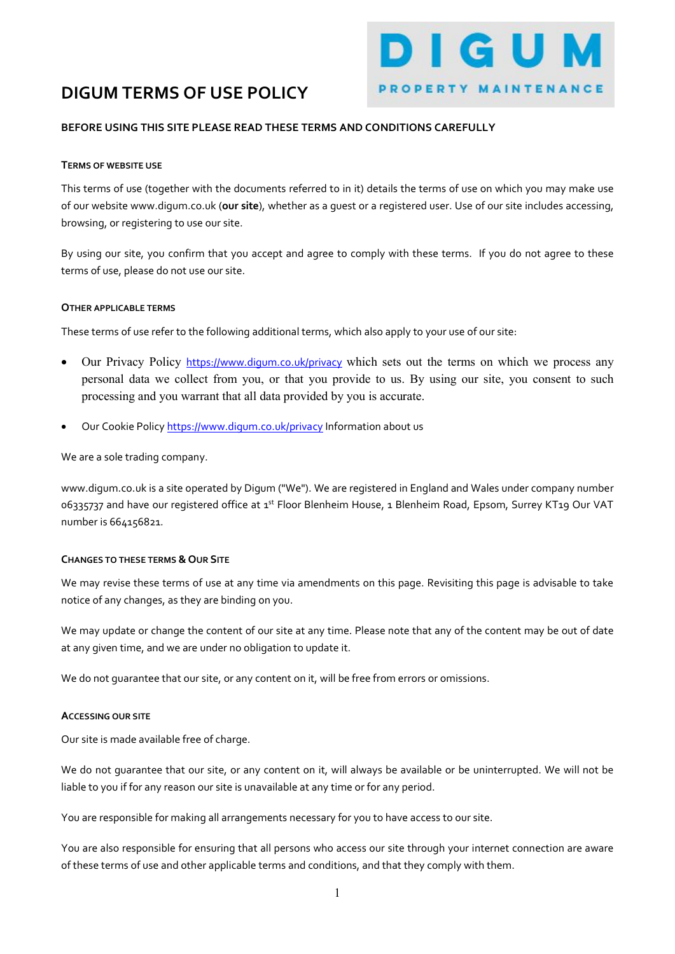# DIGUM TERMS OF USE POLICY

#### BEFORE USING THIS SITE PLEASE READ THESE TERMS AND CONDITIONS CAREFULLY

#### TERMS OF WEBSITE USE

This terms of use (together with the documents referred to in it) details the terms of use on which you may make use of our website www.digum.co.uk (our site), whether as a guest or a registered user. Use of our site includes accessing, browsing, or registering to use our site.

DIGUM

PROPERTY MAINTENANCE

By using our site, you confirm that you accept and agree to comply with these terms. If you do not agree to these terms of use, please do not use our site.

#### OTHER APPLICABLE TERMS

These terms of use refer to the following additional terms, which also apply to your use of our site:

- Our Privacy Policy https://www.digum.co.uk/privacy which sets out the terms on which we process any personal data we collect from you, or that you provide to us. By using our site, you consent to such processing and you warrant that all data provided by you is accurate.
- Our Cookie Policy https://www.digum.co.uk/privacy Information about us

We are a sole trading company.

www.digum.co.uk is a site operated by Digum ("We"). We are registered in England and Wales under company number 06335737 and have our registered office at 1<sup>st</sup> Floor Blenheim House, 1 Blenheim Road, Epsom, Surrey KT19 Our VAT number is 664156821.

#### CHANGES TO THESE TERMS & OUR SITE

We may revise these terms of use at any time via amendments on this page. Revisiting this page is advisable to take notice of any changes, as they are binding on you.

We may update or change the content of our site at any time. Please note that any of the content may be out of date at any given time, and we are under no obligation to update it.

We do not guarantee that our site, or any content on it, will be free from errors or omissions.

#### ACCESSING OUR SITE

Our site is made available free of charge.

We do not guarantee that our site, or any content on it, will always be available or be uninterrupted. We will not be liable to you if for any reason our site is unavailable at any time or for any period.

You are responsible for making all arrangements necessary for you to have access to our site.

You are also responsible for ensuring that all persons who access our site through your internet connection are aware of these terms of use and other applicable terms and conditions, and that they comply with them.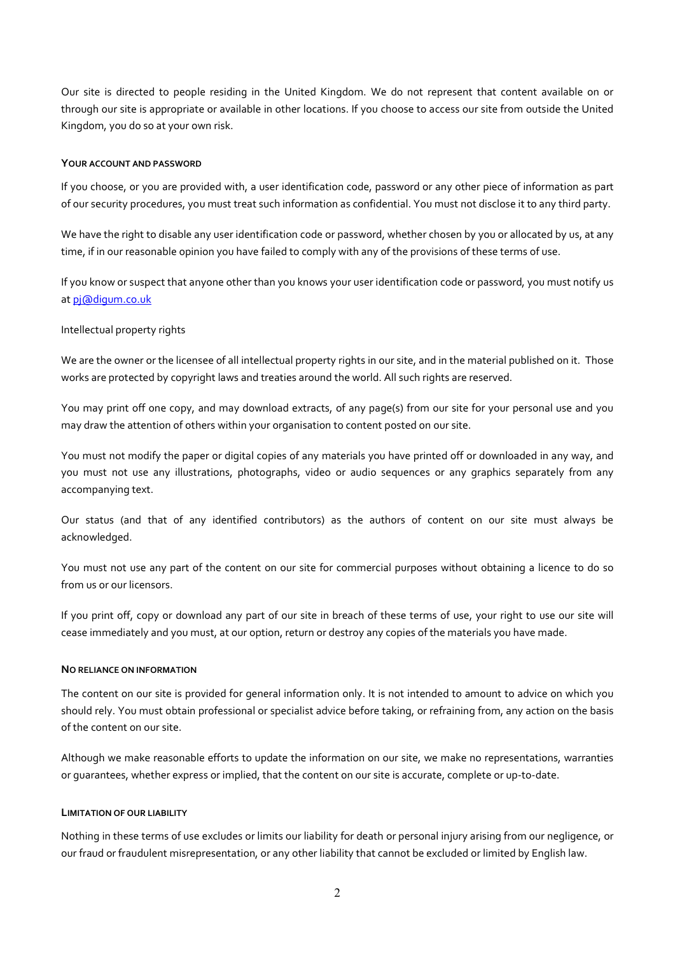Our site is directed to people residing in the United Kingdom. We do not represent that content available on or through our site is appropriate or available in other locations. If you choose to access our site from outside the United Kingdom, you do so at your own risk.

#### YOUR ACCOUNT AND PASSWORD

If you choose, or you are provided with, a user identification code, password or any other piece of information as part of our security procedures, you must treat such information as confidential. You must not disclose it to any third party.

We have the right to disable any user identification code or password, whether chosen by you or allocated by us, at any time, if in our reasonable opinion you have failed to comply with any of the provisions of these terms of use.

If you know or suspect that anyone other than you knows your user identification code or password, you must notify us at pj@diqum.co.uk

### Intellectual property rights

We are the owner or the licensee of all intellectual property rights in our site, and in the material published on it. Those works are protected by copyright laws and treaties around the world. All such rights are reserved.

You may print off one copy, and may download extracts, of any page(s) from our site for your personal use and you may draw the attention of others within your organisation to content posted on our site.

You must not modify the paper or digital copies of any materials you have printed off or downloaded in any way, and you must not use any illustrations, photographs, video or audio sequences or any graphics separately from any accompanying text.

Our status (and that of any identified contributors) as the authors of content on our site must always be acknowledged.

You must not use any part of the content on our site for commercial purposes without obtaining a licence to do so from us or our licensors.

If you print off, copy or download any part of our site in breach of these terms of use, your right to use our site will cease immediately and you must, at our option, return or destroy any copies of the materials you have made.

#### NO RELIANCE ON INFORMATION

The content on our site is provided for general information only. It is not intended to amount to advice on which you should rely. You must obtain professional or specialist advice before taking, or refraining from, any action on the basis of the content on our site.

Although we make reasonable efforts to update the information on our site, we make no representations, warranties or guarantees, whether express or implied, that the content on our site is accurate, complete or up-to-date.

## LIMITATION OF OUR LIABILITY

Nothing in these terms of use excludes or limits our liability for death or personal injury arising from our negligence, or our fraud or fraudulent misrepresentation, or any other liability that cannot be excluded or limited by English law.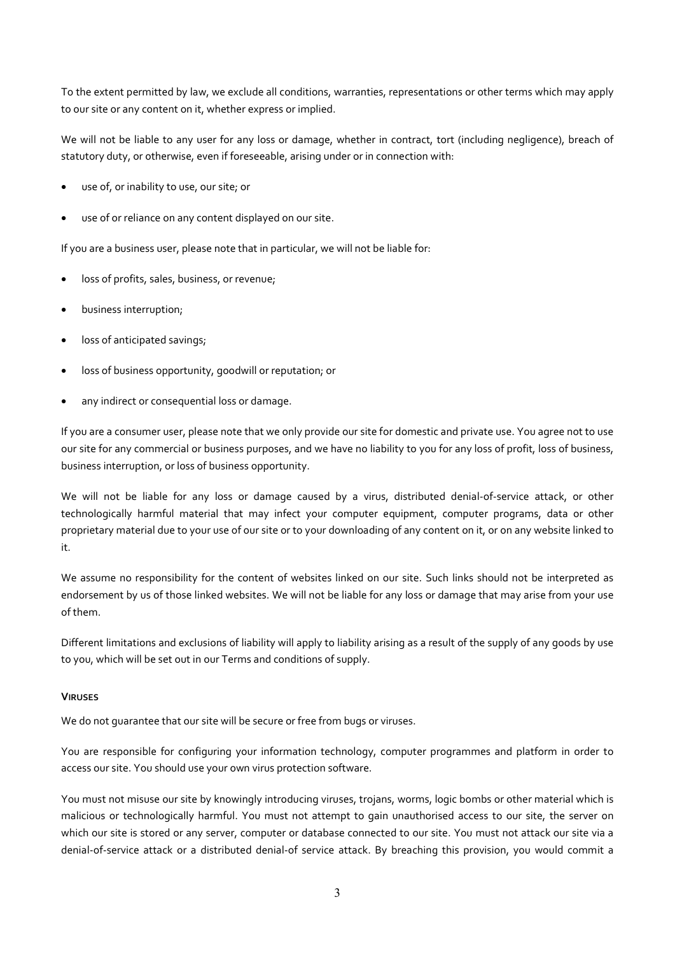To the extent permitted by law, we exclude all conditions, warranties, representations or other terms which may apply to our site or any content on it, whether express or implied.

We will not be liable to any user for any loss or damage, whether in contract, tort (including negligence), breach of statutory duty, or otherwise, even if foreseeable, arising under or in connection with:

- use of, or inability to use, our site; or
- use of or reliance on any content displayed on our site.

If you are a business user, please note that in particular, we will not be liable for:

- loss of profits, sales, business, or revenue;
- business interruption;
- loss of anticipated savings;
- loss of business opportunity, goodwill or reputation; or
- any indirect or consequential loss or damage.

If you are a consumer user, please note that we only provide our site for domestic and private use. You agree not to use our site for any commercial or business purposes, and we have no liability to you for any loss of profit, loss of business, business interruption, or loss of business opportunity.

We will not be liable for any loss or damage caused by a virus, distributed denial-of-service attack, or other technologically harmful material that may infect your computer equipment, computer programs, data or other proprietary material due to your use of our site or to your downloading of any content on it, or on any website linked to it.

We assume no responsibility for the content of websites linked on our site. Such links should not be interpreted as endorsement by us of those linked websites. We will not be liable for any loss or damage that may arise from your use of them.

Different limitations and exclusions of liability will apply to liability arising as a result of the supply of any goods by use to you, which will be set out in our Terms and conditions of supply.

#### VIRUSES

We do not guarantee that our site will be secure or free from bugs or viruses.

You are responsible for configuring your information technology, computer programmes and platform in order to access our site. You should use your own virus protection software.

You must not misuse our site by knowingly introducing viruses, trojans, worms, logic bombs or other material which is malicious or technologically harmful. You must not attempt to gain unauthorised access to our site, the server on which our site is stored or any server, computer or database connected to our site. You must not attack our site via a denial-of-service attack or a distributed denial-of service attack. By breaching this provision, you would commit a